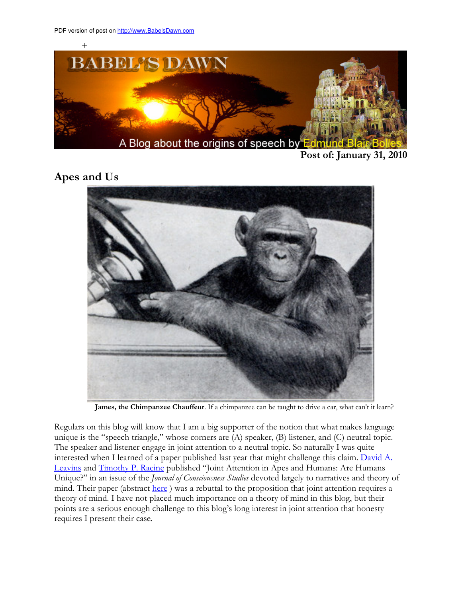

Post of: January 31, 2010

## Apes and Us



James, the Chimpanzee Chauffeur. If a chimpanzee can be taught to drive a car, what can't it learn?

Regulars on this blog will know that I am a big supporter of the notion that what makes language unique is the "speech triangle," whose corners are (A) speaker, (B) listener, and (C) neutral topic. The speaker and listener engage in joint attention to a neutral topic. So naturally I was quite interested when I learned of a paper published last year that might challenge this claim. David A. Leavins and Timothy P. Racine published "Joint Attention in Apes and Humans: Are Humans Unique?" in an issue of the *Journal of Consciousness Studies* devoted largely to narratives and theory of mind. Their paper (abstract here) was a rebuttal to the proposition that joint attention requires a theory of mind. I have not placed much importance on a theory of mind in this blog, but their points are a serious enough challenge to this blog's long interest in joint attention that honesty requires I present their case.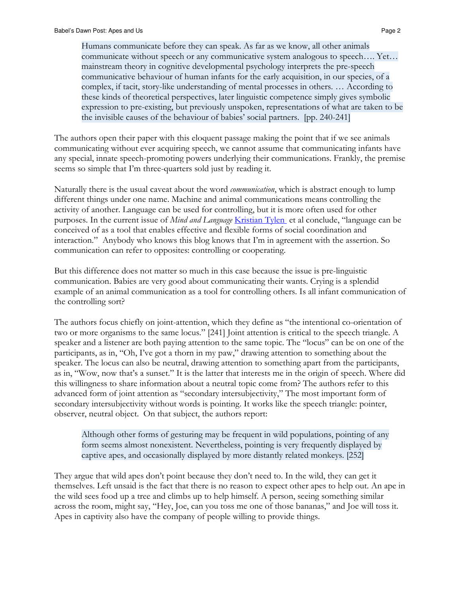Humans communicate before they can speak. As far as we know, all other animals communicate without speech or any communicative system analogous to speech…. Yet… mainstream theory in cognitive developmental psychology interprets the pre-speech communicative behaviour of human infants for the early acquisition, in our species, of a complex, if tacit, story-like understanding of mental processes in others. … According to these kinds of theoretical perspectives, later linguistic competence simply gives symbolic expression to pre-existing, but previously unspoken, representations of what are taken to be the invisible causes of the behaviour of babies' social partners. [pp. 240-241]

The authors open their paper with this eloquent passage making the point that if we see animals communicating without ever acquiring speech, we cannot assume that communicating infants have any special, innate speech-promoting powers underlying their communications. Frankly, the premise seems so simple that I'm three-quarters sold just by reading it.

Naturally there is the usual caveat about the word *communication*, which is abstract enough to lump different things under one name. Machine and animal communications means controlling the activity of another. Language can be used for controlling, but it is more often used for other purposes. In the current issue of *Mind and Language* Kristian Tylen et al conclude, "language can be conceived of as a tool that enables effective and flexible forms of social coordination and interaction." Anybody who knows this blog knows that I'm in agreement with the assertion. So communication can refer to opposites: controlling or cooperating.

But this difference does not matter so much in this case because the issue is pre-linguistic communication. Babies are very good about communicating their wants. Crying is a splendid example of an animal communication as a tool for controlling others. Is all infant communication of the controlling sort?

The authors focus chiefly on joint-attention, which they define as "the intentional co-orientation of two or more organisms to the same locus." [241] Joint attention is critical to the speech triangle. A speaker and a listener are both paying attention to the same topic. The "locus" can be on one of the participants, as in, "Oh, I've got a thorn in my paw," drawing attention to something about the speaker. The locus can also be neutral, drawing attention to something apart from the participants, as in, "Wow, now that's a sunset." It is the latter that interests me in the origin of speech. Where did this willingness to share information about a neutral topic come from? The authors refer to this advanced form of joint attention as "secondary intersubjectivity," The most important form of secondary intersubjectivity without words is pointing. It works like the speech triangle: pointer, observer, neutral object. On that subject, the authors report:

Although other forms of gesturing may be frequent in wild populations, pointing of any form seems almost nonexistent. Nevertheless, pointing is very frequently displayed by captive apes, and occasionally displayed by more distantly related monkeys. [252]

They argue that wild apes don't point because they don't need to. In the wild, they can get it themselves. Left unsaid is the fact that there is no reason to expect other apes to help out. An ape in the wild sees food up a tree and climbs up to help himself. A person, seeing something similar across the room, might say, "Hey, Joe, can you toss me one of those bananas," and Joe will toss it. Apes in captivity also have the company of people willing to provide things.